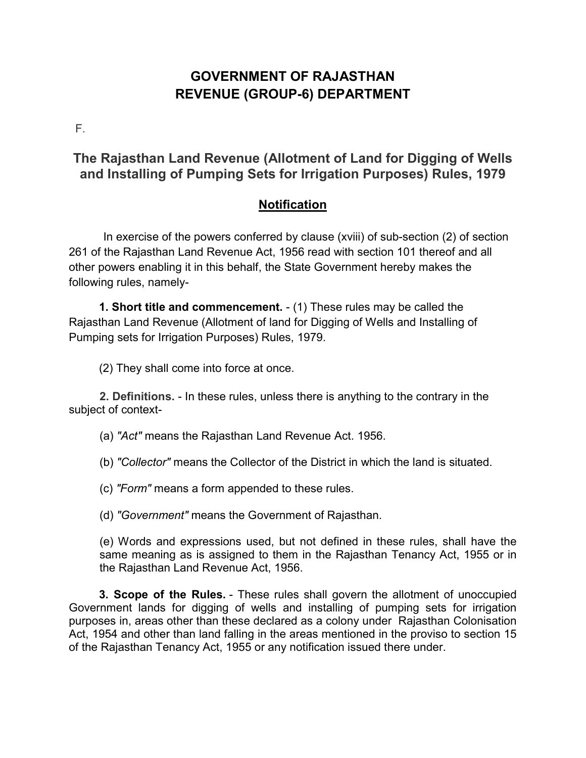# **GOVERNMENT OF RAJASTHAN REVENUE (GROUP-6) DEPARTMENT**

F.

## **The Rajasthan Land Revenue (Allotment of Land for Digging of Wells and Installing of Pumping Sets for Irrigation Purposes) Rules, 1979**

## **Notification**

In exercise of the powers conferred by clause (xviii) of sub-section (2) of section 261 of the Rajasthan Land Revenue Act, 1956 read with section 101 thereof and all other powers enabling it in this behalf, the State Government hereby makes the following rules, namely-

**1. Short title and commencement.** - (1) These rules may be called the Rajasthan Land Revenue (Allotment of land for Digging of Wells and Installing of Pumping sets for Irrigation Purposes) Rules, 1979.

(2) They shall come into force at once.

**2. Definitions.** - In these rules, unless there is anything to the contrary in the subject of context-

(a) *"Act"* means the Rajasthan Land Revenue Act. 1956.

(b) *"Collector"* means the Collector of the District in which the land is situated.

(c) *"Form"* means a form appended to these rules.

(d) *"Government"* means the Government of Rajasthan.

(e) Words and expressions used, but not defined in these rules, shall have the same meaning as is assigned to them in the Rajasthan Tenancy Act, 1955 or in the Rajasthan Land Revenue Act, 1956.

**3. Scope of the Rules.** - These rules shall govern the allotment of unoccupied Government lands for digging of wells and installing of pumping sets for irrigation purposes in, areas other than these declared as a colony under Rajasthan Colonisation Act, 1954 and other than land falling in the areas mentioned in the proviso to section 15 of the Rajasthan Tenancy Act, 1955 or any notification issued there under.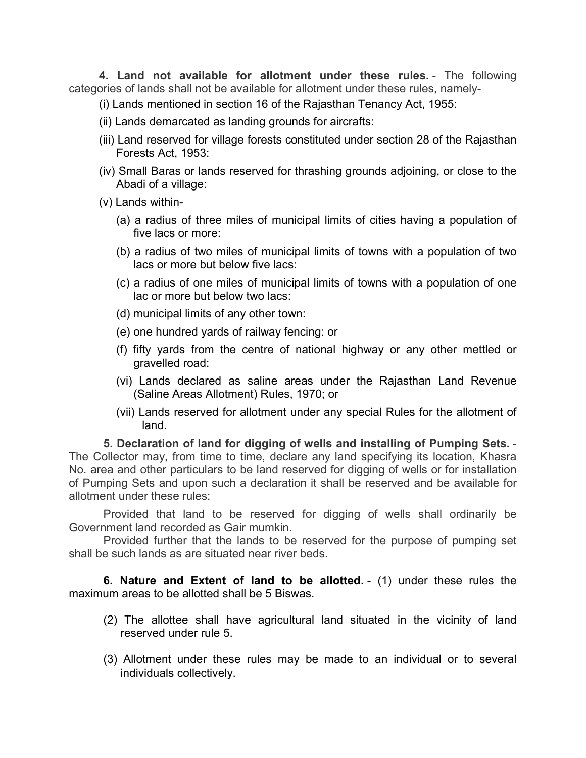**4. Land not available for allotment under these rules.** - The following categories of lands shall not be available for allotment under these rules, namely-

- (i) Lands mentioned in section 16 of the Rajasthan Tenancy Act, 1955:
- (ii) Lands demarcated as landing grounds for aircrafts:
- (iii) Land reserved for village forests constituted under section 28 of the Rajasthan Forests Act, 1953:
- (iv) Small Baras or lands reserved for thrashing grounds adjoining, or close to the Abadi of a village:
- (v) Lands within-
	- (a) a radius of three miles of municipal limits of cities having a population of five lacs or more:
	- (b) a radius of two miles of municipal limits of towns with a population of two lacs or more but below five lacs:
	- (c) a radius of one miles of municipal limits of towns with a population of one lac or more but below two lacs:
	- (d) municipal limits of any other town:
	- (e) one hundred yards of railway fencing: or
	- (f) fifty yards from the centre of national highway or any other mettled or gravelled road:
	- (vi) Lands declared as saline areas under the Rajasthan Land Revenue (Saline Areas Allotment) Rules, 1970; or
	- (vii) Lands reserved for allotment under any special Rules for the allotment of land.

**5. Declaration of land for digging of wells and installing of Pumping Sets.** - The Collector may, from time to time, declare any land specifying its location, Khasra No. area and other particulars to be land reserved for digging of wells or for installation of Pumping Sets and upon such a declaration it shall be reserved and be available for allotment under these rules:

Provided that land to be reserved for digging of wells shall ordinarily be Government land recorded as Gair mumkin.

Provided further that the lands to be reserved for the purpose of pumping set shall be such lands as are situated near river beds.

**6. Nature and Extent of land to be allotted.** - (1) under these rules the maximum areas to be allotted shall be 5 Biswas.

- (2) The allottee shall have agricultural land situated in the vicinity of land reserved under rule 5.
- (3) Allotment under these rules may be made to an individual or to several individuals collectively.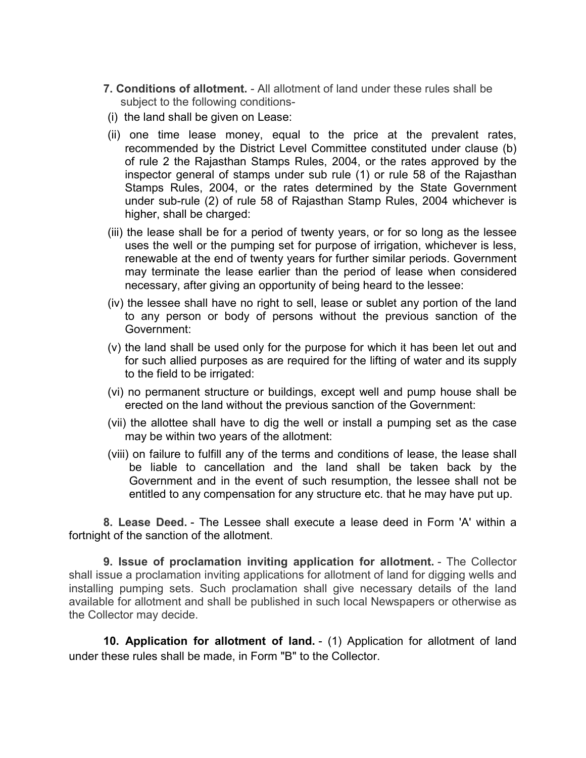- **7. Conditions of allotment.** All allotment of land under these rules shall be subject to the following conditions-
- (i) the land shall be given on Lease:
- (ii) one time lease money, equal to the price at the prevalent rates, recommended by the District Level Committee constituted under clause (b) of rule 2 the Rajasthan Stamps Rules, 2004, or the rates approved by the inspector general of stamps under sub rule (1) or rule 58 of the Rajasthan Stamps Rules, 2004, or the rates determined by the State Government under sub-rule (2) of rule 58 of Rajasthan Stamp Rules, 2004 whichever is higher, shall be charged:
- (iii) the lease shall be for a period of twenty years, or for so long as the lessee uses the well or the pumping set for purpose of irrigation, whichever is less, renewable at the end of twenty years for further similar periods. Government may terminate the lease earlier than the period of lease when considered necessary, after giving an opportunity of being heard to the lessee:
- (iv) the lessee shall have no right to sell, lease or sublet any portion of the land to any person or body of persons without the previous sanction of the Government:
- (v) the land shall be used only for the purpose for which it has been let out and for such allied purposes as are required for the lifting of water and its supply to the field to be irrigated:
- (vi) no permanent structure or buildings, except well and pump house shall be erected on the land without the previous sanction of the Government:
- (vii) the allottee shall have to dig the well or install a pumping set as the case may be within two years of the allotment:
- (viii) on failure to fulfill any of the terms and conditions of lease, the lease shall be liable to cancellation and the land shall be taken back by the Government and in the event of such resumption, the lessee shall not be entitled to any compensation for any structure etc. that he may have put up.

**8. Lease Deed.** - The Lessee shall execute a lease deed in Form 'A' within a fortnight of the sanction of the allotment.

**9. Issue of proclamation inviting application for allotment.** - The Collector shall issue a proclamation inviting applications for allotment of land for digging wells and installing pumping sets. Such proclamation shall give necessary details of the land available for allotment and shall be published in such local Newspapers or otherwise as the Collector may decide.

**10. Application for allotment of land.** - (1) Application for allotment of land under these rules shall be made, in Form "B" to the Collector.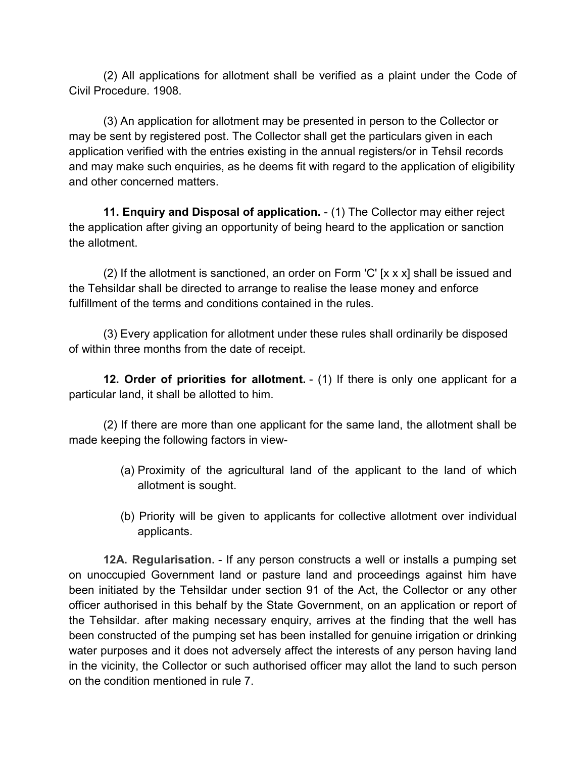(2) All applications for allotment shall be verified as a plaint under the Code of Civil Procedure. 1908.

(3) An application for allotment may be presented in person to the Collector or may be sent by registered post. The Collector shall get the particulars given in each application verified with the entries existing in the annual registers/or in Tehsil records and may make such enquiries, as he deems fit with regard to the application of eligibility and other concerned matters.

**11. Enquiry and Disposal of application.** - (1) The Collector may either reject the application after giving an opportunity of being heard to the application or sanction the allotment.

(2) If the allotment is sanctioned, an order on Form 'C' [x x x] shall be issued and the Tehsildar shall be directed to arrange to realise the lease money and enforce fulfillment of the terms and conditions contained in the rules.

(3) Every application for allotment under these rules shall ordinarily be disposed of within three months from the date of receipt.

**12. Order of priorities for allotment.** - (1) If there is only one applicant for a particular land, it shall be allotted to him.

(2) If there are more than one applicant for the same land, the allotment shall be made keeping the following factors in view-

- (a) Proximity of the agricultural land of the applicant to the land of which allotment is sought.
- (b) Priority will be given to applicants for collective allotment over individual applicants.

**12A. Regularisation.** - If any person constructs a well or installs a pumping set on unoccupied Government land or pasture land and proceedings against him have been initiated by the Tehsildar under section 91 of the Act, the Collector or any other officer authorised in this behalf by the State Government, on an application or report of the Tehsildar. after making necessary enquiry, arrives at the finding that the well has been constructed of the pumping set has been installed for genuine irrigation or drinking water purposes and it does not adversely affect the interests of any person having land in the vicinity, the Collector or such authorised officer may allot the land to such person on the condition mentioned in rule 7.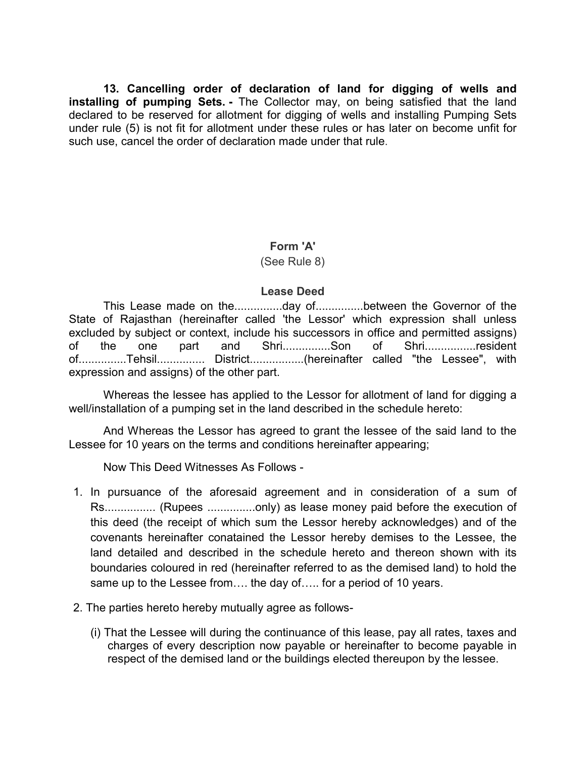**13. Cancelling order of declaration of land for digging of wells and installing of pumping Sets. -** The Collector may, on being satisfied that the land declared to be reserved for allotment for digging of wells and installing Pumping Sets under rule (5) is not fit for allotment under these rules or has later on become unfit for such use, cancel the order of declaration made under that rule.

#### **Form 'A'**

#### (See Rule 8)

#### **Lease Deed**

This Lease made on the...............day of...............between the Governor of the State of Rajasthan (hereinafter called 'the Lessor' which expression shall unless excluded by subject or context, include his successors in office and permitted assigns) of the one part and Shri...............Son of Shri................resident of...............Tehsil............... District.................(hereinafter called "the Lessee", with expression and assigns) of the other part.

Whereas the lessee has applied to the Lessor for allotment of land for digging a well/installation of a pumping set in the land described in the schedule hereto:

And Whereas the Lessor has agreed to grant the lessee of the said land to the Lessee for 10 years on the terms and conditions hereinafter appearing;

Now This Deed Witnesses As Follows -

- 1. In pursuance of the aforesaid agreement and in consideration of a sum of Rs................ (Rupees ...............only) as lease money paid before the execution of this deed (the receipt of which sum the Lessor hereby acknowledges) and of the covenants hereinafter conatained the Lessor hereby demises to the Lessee, the land detailed and described in the schedule hereto and thereon shown with its boundaries coloured in red (hereinafter referred to as the demised land) to hold the same up to the Lessee from.... the day of..... for a period of 10 years.
- 2. The parties hereto hereby mutually agree as follows-
	- (i) That the Lessee will during the continuance of this lease, pay all rates, taxes and charges of every description now payable or hereinafter to become payable in respect of the demised land or the buildings elected thereupon by the lessee.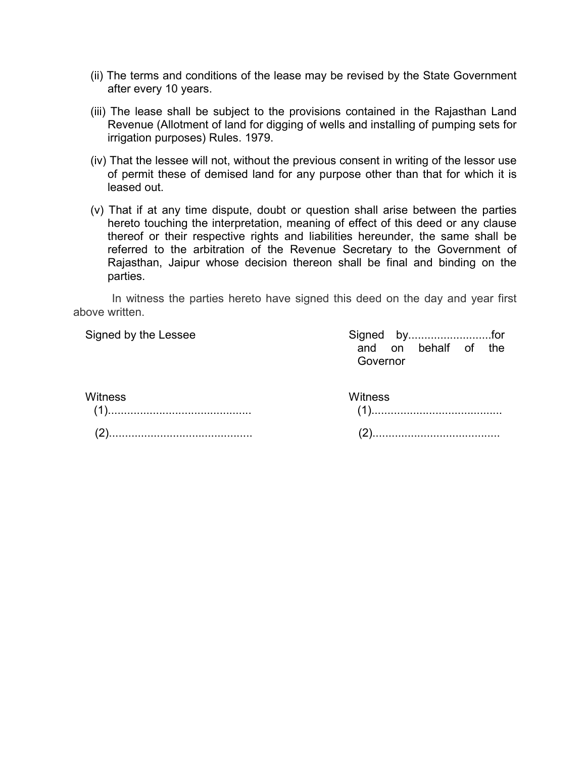- (ii) The terms and conditions of the lease may be revised by the State Government after every 10 years.
- (iii) The lease shall be subject to the provisions contained in the Rajasthan Land Revenue (Allotment of land for digging of wells and installing of pumping sets for irrigation purposes) Rules. 1979.
- (iv) That the lessee will not, without the previous consent in writing of the lessor use of permit these of demised land for any purpose other than that for which it is leased out.
- (v) That if at any time dispute, doubt or question shall arise between the parties hereto touching the interpretation, meaning of effect of this deed or any clause thereof or their respective rights and liabilities hereunder, the same shall be referred to the arbitration of the Revenue Secretary to the Government of Rajasthan, Jaipur whose decision thereon shall be final and binding on the parties.

In witness the parties hereto have signed this deed on the day and year first above written.

Signed by the Lessee Signed by..........................for and on behalf of the Governor

#### **Witness**

## **Witness**

| ៴៴៲៶៲៲ច១១ |  |  |
|-----------|--|--|
| (2).      |  |  |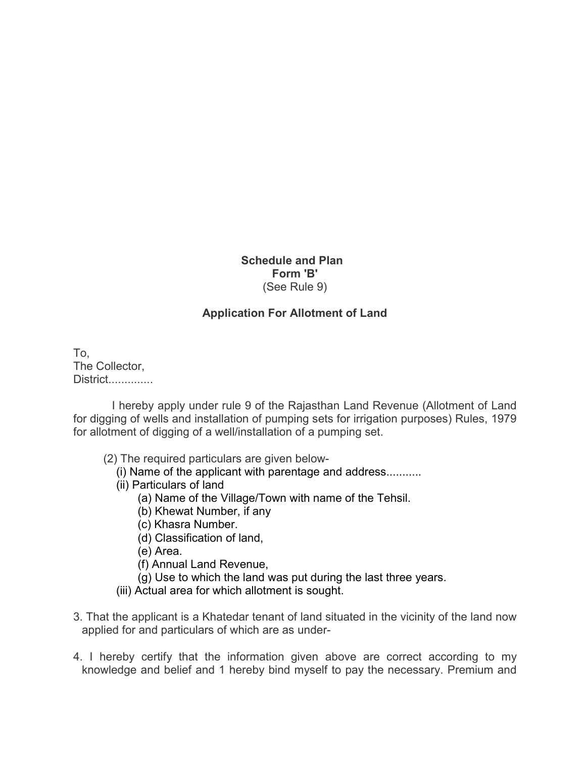#### **Schedule and Plan Form 'B'** (See Rule 9)

#### **Application For Allotment of Land**

To, The Collector, District..............

I hereby apply under rule 9 of the Rajasthan Land Revenue (Allotment of Land for digging of wells and installation of pumping sets for irrigation purposes) Rules, 1979 for allotment of digging of a well/installation of a pumping set.

- (2) The required particulars are given below-
	- (i) Name of the applicant with parentage and address...........
	- (ii) Particulars of land
		- (a) Name of the Village/Town with name of the Tehsil.
		- (b) Khewat Number, if any
		- (c) Khasra Number.
		- (d) Classification of land,
		- (e) Area.
		- (f) Annual Land Revenue,
		- (g) Use to which the land was put during the last three years.
	- (iii) Actual area for which allotment is sought.
- 3. That the applicant is a Khatedar tenant of land situated in the vicinity of the land now applied for and particulars of which are as under-
- 4. I hereby certify that the information given above are correct according to my knowledge and belief and 1 hereby bind myself to pay the necessary. Premium and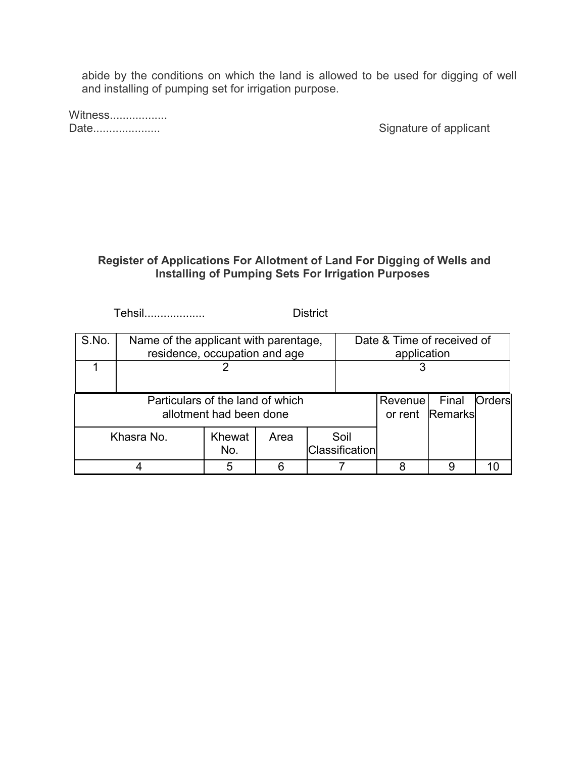abide by the conditions on which the land is allowed to be used for digging of well and installing of pumping set for irrigation purpose.

Witness...................<br>Date.....................

Signature of applicant

### **Register of Applications For Allotment of Land For Digging of Wells and Installing of Pumping Sets For Irrigation Purposes**

Tehsil................... District

| S.No.                                                       | Name of the applicant with parentage,<br>residence, occupation and age |               |         |                          | Date & Time of received of<br>application |  |   |    |
|-------------------------------------------------------------|------------------------------------------------------------------------|---------------|---------|--------------------------|-------------------------------------------|--|---|----|
|                                                             |                                                                        |               |         |                          |                                           |  |   |    |
| Particulars of the land of which<br>allotment had been done |                                                                        |               | Revenue | Final<br>or rent Remarks | Orders                                    |  |   |    |
|                                                             | Khasra No.                                                             | Khewat<br>No. | Area    |                          | Soil<br><b>Classification</b>             |  |   |    |
|                                                             |                                                                        | 5             |         |                          |                                           |  | 9 | 10 |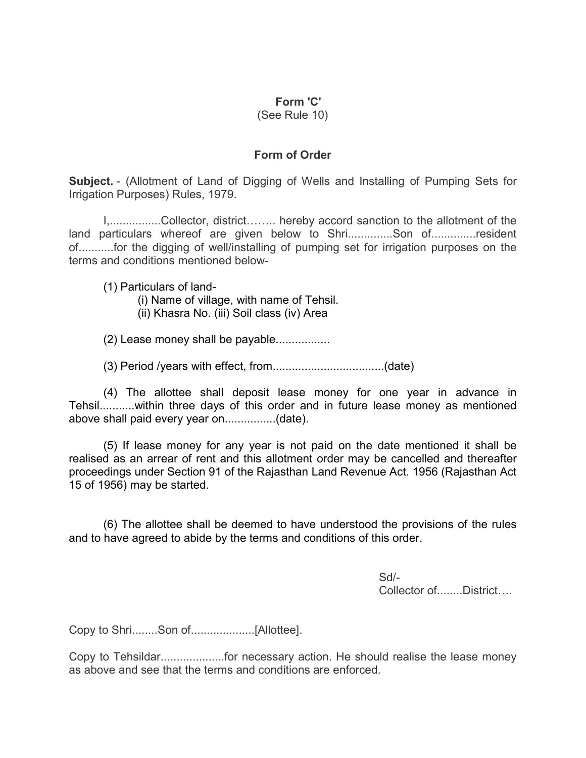#### **Form 'C'**

(See Rule 10)

### **Form of Order**

**Subject.** - (Allotment of Land of Digging of Wells and Installing of Pumping Sets for Irrigation Purposes) Rules, 1979.

I,................Collector, district........ hereby accord sanction to the allotment of the land particulars whereof are given below to Shri..............Son of.............resident of...........for the digging of well/installing of pumping set for irrigation purposes on the terms and conditions mentioned below-

(1) Particulars of land-

- (i) Name of village, with name of Tehsil.
- (ii) Khasra No. (iii) Soil class (iv) Area

(2) Lease money shall be payable.................

(3) Period /years with effect, from...................................(date)

(4) The allottee shall deposit lease money for one year in advance in Tehsil...........within three days of this order and in future lease money as mentioned above shall paid every year on................(date).

(5) If lease money for any year is not paid on the date mentioned it shall be realised as an arrear of rent and this allotment order may be cancelled and thereafter proceedings under Section 91 of the Rajasthan Land Revenue Act. 1956 (Rajasthan Act 15 of 1956) may be started.

(6) The allottee shall be deemed to have understood the provisions of the rules and to have agreed to abide by the terms and conditions of this order.

> Sd/- Collector of........District....

Copy to Shri........Son of....................[Allottee].

Copy to Tehsildar....................for necessary action. He should realise the lease money as above and see that the terms and conditions are enforced.